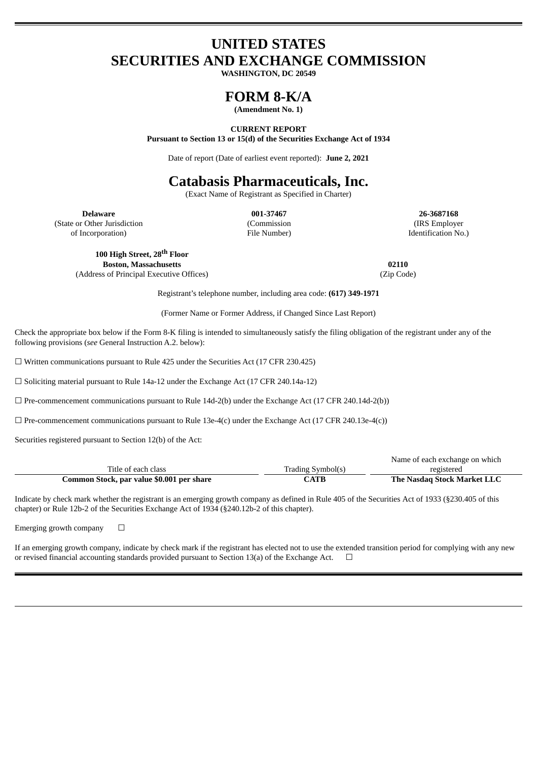# **UNITED STATES SECURITIES AND EXCHANGE COMMISSION**

**WASHINGTON, DC 20549**

## **FORM 8-K/A**

**(Amendment No. 1)**

#### **CURRENT REPORT**

**Pursuant to Section 13 or 15(d) of the Securities Exchange Act of 1934**

Date of report (Date of earliest event reported): **June 2, 2021**

# **Catabasis Pharmaceuticals, Inc.**

(Exact Name of Registrant as Specified in Charter)

(State or Other Jurisdiction

of Incorporation)

(Commission File Number)

**Delaware 001-37467 26-3687168** (IRS Employer Identification No.)

**100 High Street, 28 th Floor Boston, Massachusetts 02110** (Address of Principal Executive Offices) (Zip Code)

Registrant's telephone number, including area code: **(617) 349-1971**

(Former Name or Former Address, if Changed Since Last Report)

Check the appropriate box below if the Form 8-K filing is intended to simultaneously satisfy the filing obligation of the registrant under any of the following provisions (*see* General Instruction A.2. below):

 $\Box$  Written communications pursuant to Rule 425 under the Securities Act (17 CFR 230.425)

☐ Soliciting material pursuant to Rule 14a-12 under the Exchange Act (17 CFR 240.14a-12)

 $\Box$  Pre-commencement communications pursuant to Rule 14d-2(b) under the Exchange Act (17 CFR 240.14d-2(b))

 $\Box$  Pre-commencement communications pursuant to Rule 13e-4(c) under the Exchange Act (17 CFR 240.13e-4(c))

Securities registered pursuant to Section 12(b) of the Act:

|                                           |                   | Name of each exchange on which |
|-------------------------------------------|-------------------|--------------------------------|
| Title of each class                       | Trading Symbol(s) | registered                     |
| Common Stock, par value \$0.001 per share | CATB              | The Nasdag Stock Market LLC    |

Indicate by check mark whether the registrant is an emerging growth company as defined in Rule 405 of the Securities Act of 1933 (§230.405 of this chapter) or Rule 12b-2 of the Securities Exchange Act of 1934 (§240.12b-2 of this chapter).

Emerging growth company  $\Box$ 

If an emerging growth company, indicate by check mark if the registrant has elected not to use the extended transition period for complying with any new or revised financial accounting standards provided pursuant to Section 13(a) of the Exchange Act.  $\Box$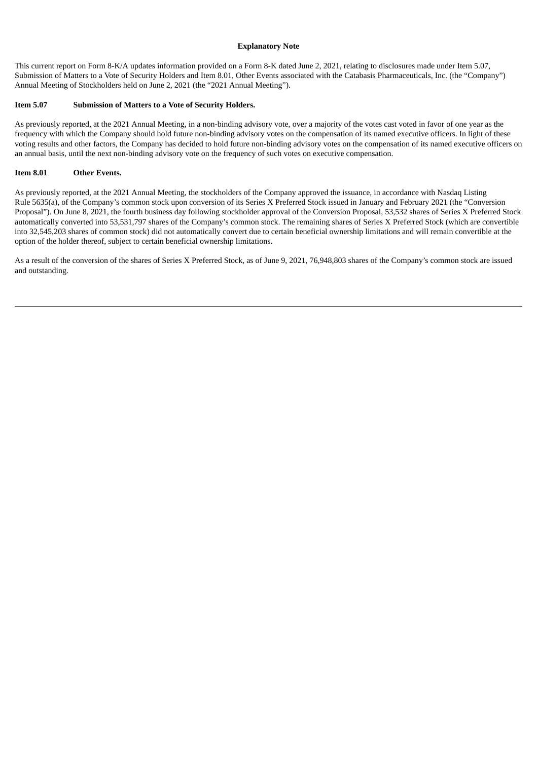#### **Explanatory Note**

This current report on Form 8-K/A updates information provided on a Form 8-K dated June 2, 2021, relating to disclosures made under Item 5.07, Submission of Matters to a Vote of Security Holders and Item 8.01, Other Events associated with the Catabasis Pharmaceuticals, Inc. (the "Company") Annual Meeting of Stockholders held on June 2, 2021 (the "2021 Annual Meeting").

#### **Item 5.07 Submission of Matters to a Vote of Security Holders.**

As previously reported, at the 2021 Annual Meeting, in a non-binding advisory vote, over a majority of the votes cast voted in favor of one year as the frequency with which the Company should hold future non-binding advisory votes on the compensation of its named executive officers. In light of these voting results and other factors, the Company has decided to hold future non-binding advisory votes on the compensation of its named executive officers on an annual basis, until the next non-binding advisory vote on the frequency of such votes on executive compensation.

#### **Item 8.01 Other Events.**

As previously reported, at the 2021 Annual Meeting, the stockholders of the Company approved the issuance, in accordance with Nasdaq Listing Rule 5635(a), of the Company's common stock upon conversion of its Series X Preferred Stock issued in January and February 2021 (the "Conversion Proposal"). On June 8, 2021, the fourth business day following stockholder approval of the Conversion Proposal, 53,532 shares of Series X Preferred Stock automatically converted into 53,531,797 shares of the Company's common stock. The remaining shares of Series X Preferred Stock (which are convertible into 32,545,203 shares of common stock) did not automatically convert due to certain beneficial ownership limitations and will remain convertible at the option of the holder thereof, subject to certain beneficial ownership limitations.

As a result of the conversion of the shares of Series X Preferred Stock, as of June 9, 2021, 76,948,803 shares of the Company's common stock are issued and outstanding.